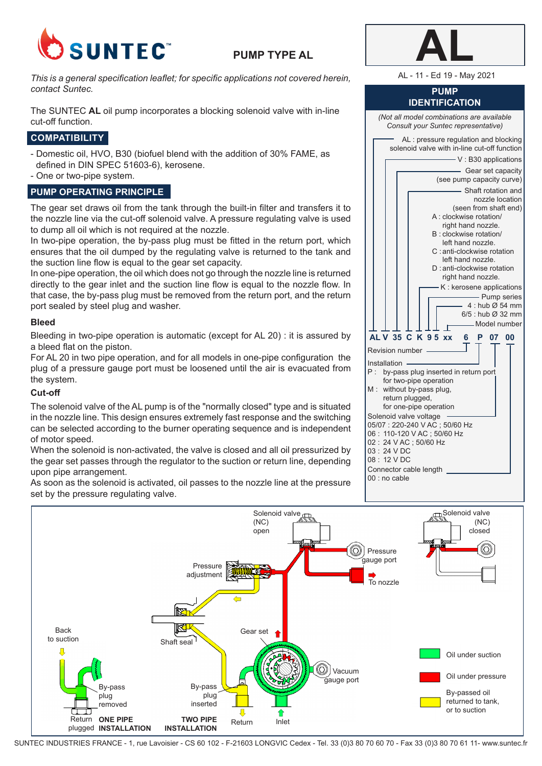

# **PUMP TYPE AL**

*This is a general specification leaflet; for specific applications not covered herein, contact Suntec.*

The SUNTEC **AL** oil pump incorporates a blocking solenoid valve with in-line cut-off function.

## **COMPATIBILITY**

- Domestic oil, HVO, B30 (biofuel blend with the addition of 30% FAME, as defined in DIN SPEC 51603-6), kerosene.

- One or two-pipe system.

## **PUMP OPERATING PRINCIPLE**

The gear set draws oil from the tank through the built-in filter and transfers it to the nozzle line via the cut-off solenoid valve. A pressure regulating valve is used to dump all oil which is not required at the nozzle.

In two-pipe operation, the by-pass plug must be fitted in the return port, which ensures that the oil dumped by the regulating valve is returned to the tank and the suction line flow is equal to the gear set capacity.

In one-pipe operation, the oil which does not go through the nozzle line is returned directly to the gear inlet and the suction line flow is equal to the nozzle flow. In that case, the by-pass plug must be removed from the return port, and the return port sealed by steel plug and washer.

## **Bleed**

Bleeding in two-pipe operation is automatic (except for AL 20) : it is assured by a bleed flat on the piston.

For AL 20 in two pipe operation, and for all models in one-pipe configuration the plug of a pressure gauge port must be loosened until the air is evacuated from the system.

## **Cut-off**

The solenoid valve of the AL pump is of the "normally closed" type and is situated in the nozzle line. This design ensures extremely fast response and the switching can be selected according to the burner operating sequence and is independent of motor speed.

When the solenoid is non-activated, the valve is closed and all oil pressurized by the gear set passes through the regulator to the suction or return line, depending upon pipe arrangement.

As soon as the solenoid is activated, oil passes to the nozzle line at the pressure set by the pressure regulating valve.



AL - 11 - Ed 19 - May 2021

#### **PUMP IDENTIFICATION**

*(Not all model combinations are available Consult your Suntec representative)*